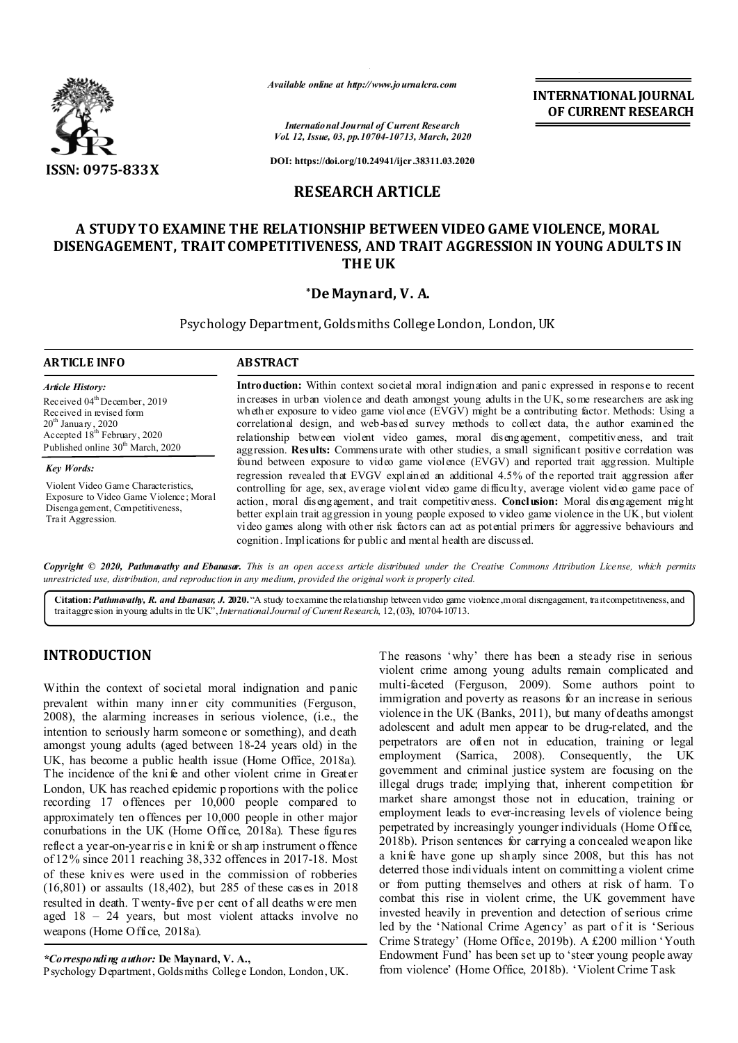

*Available online at http://www.journalcra.com*

*International Journal of Current Research Vol. 12, Issue, 03, pp.10704-10713, March, 2020* **INTERNATIONAL JOURNAL OF CURRENT RESEARCH**

**DOI: https://doi.org/10.24941/ijcr.38311.03.2020**

## **RESEARCH ARTICLE**

# **A STUDY TO EXAMINE THE RELATIONSHIP BETWEEN VIDEO GAME VIOLENCE, MORAL DISENGAGEMENT, TRAIT COMPETITIVENESS, AND TRAIT AGGRESSION IN YOUNG ADULTS IN THE UK**

## **\*De Maynard, V. A.**

Psychology Department, Goldsmiths College London, London, UK

#### **ARTICLE INFO ABSTRACT**

*Article History:* Received 04<sup>th</sup> December, 2019 Received in revised form  $20^{\rm th}$  January , 2020 Accepted 18<sup>th</sup> February, 2020 Published online 30<sup>th</sup> March, 2020

*Key Words:*

Violent Video Game Characteristics, Exposure to Video Game Violence ; Moral Disengagement, Competitiveness, Trait Aggression.

**Introduction:** Within context societal moral indignation and panic expressed in response to recent increases in urban violence and death amongst young adults in the UK, some researchers are asking whether exposure to video game violence (EVGV) might be a contributing factor. Methods: Using a correlational design, and web-based survey methods to collect data, the author examined the relationship between violent video games, moral disengagement, competitiveness, and trait aggression. **Results:** Commensurate with other studies, a small significant positive correlation was found between exposure to video game violence (EVGV) and reported trait aggression. Multiple regression revealed that EVGV explained an additional 4.5% of the reported trait aggression after controlling for age, sex, average violent video game difficulty, average violent video game pace of action, moral disengagement, and trait competitiveness. **Conclusion:** Moral disengagement might better explain trait aggression in young people exposed to video game violence in the UK, but violent video games along with other risk factors can act as potential primers for aggressive behaviours and cognition. Implications for public and mental health are discussed.

Copyright © 2020, Pathmavathy and Ebanasar. This is an open access article distributed under the Creative Commons Attribution License, which permits *unrestricted use, distribution, and reproduction in any medium, provided the original work is properly cited.*

**Citation:***Pathmavathy, R. and Ebanasar, J.* **2020.** "A study to examine the relationship between video game violence, moral disengagement, trait competitiveness, and trait aggression in young adults in the UK",*InternationalJournal of CurrentResearch*, 12,(03), 10704-10713.

## **INTRODUCTION**

Within the context of societal moral indignation and panic prevalent within many inner city communities (Ferguson, 2008), the alarming increases in serious violence, (i.e., the intention to seriously harm someone or something), and death amongst young adults (aged between 18-24 years old) in the UK, has become a public health issue (Home Office, 2018a). The incidence of the knife and other violent crime in Greater London, UK has reached epidemic p roportions with the police recording 17 offences per 10,000 people compared to approximately ten offences per 10,000 people in other major conurbations in the UK (Home Office, 2018a). These figures reflect a year-on-year rise in knife or sharp instrument o ffence of 12% since 2011 reaching 38,332 offences in 2017-18. Most of these knives were used in the commission of robberies (16,801) or assaults (18,402), but 285 of these cases in 2018 resulted in death. Twenty-five per cent of all deaths were men aged 18 – 24 years, but most violent attacks involve no weapons (Home Office, 2018a).

*\*Corresponding author:* **De Maynard, V. A.,**

Psychology Department, Goldsmiths College London, London, UK.

The reasons 'why' there has been a steady rise in serious violent crime among young adults remain complicated and multi-faceted (Ferguson, 2009). Some authors point to immigration and poverty as reasons for an increase in serious violence in the UK (Banks, 2011), but many of deaths amongst adolescent and adult men appear to be drug-related, and the perpetrators are often not in education, training or legal employment (Sarrica, 2008). Consequently, the UK employment (Sarrica, government and criminal justice system are focusing on the illegal drugs trade; implying that, inherent competition for market share amongst those not in education, training or employment leads to ever-increasing levels of violence being perpetrated by increasingly younger individuals (Home Office, 2018b). Prison sentences for carrying a concealed weapon like a knife have gone up sharply since 2008, but this has not deterred those individuals intent on committing a violent crime or from putting themselves and others at risk of harm. To combat this rise in violent crime, the UK government have invested heavily in prevention and detection of serious crime led by the 'National Crime Agency' as part of it is 'Serious Crime Strategy' (Home Office, 2019b). A £200 million 'Youth Endowment Fund' has been set up to 'steer young people away from violence' (Home Office, 2018b). 'Violent Crime Task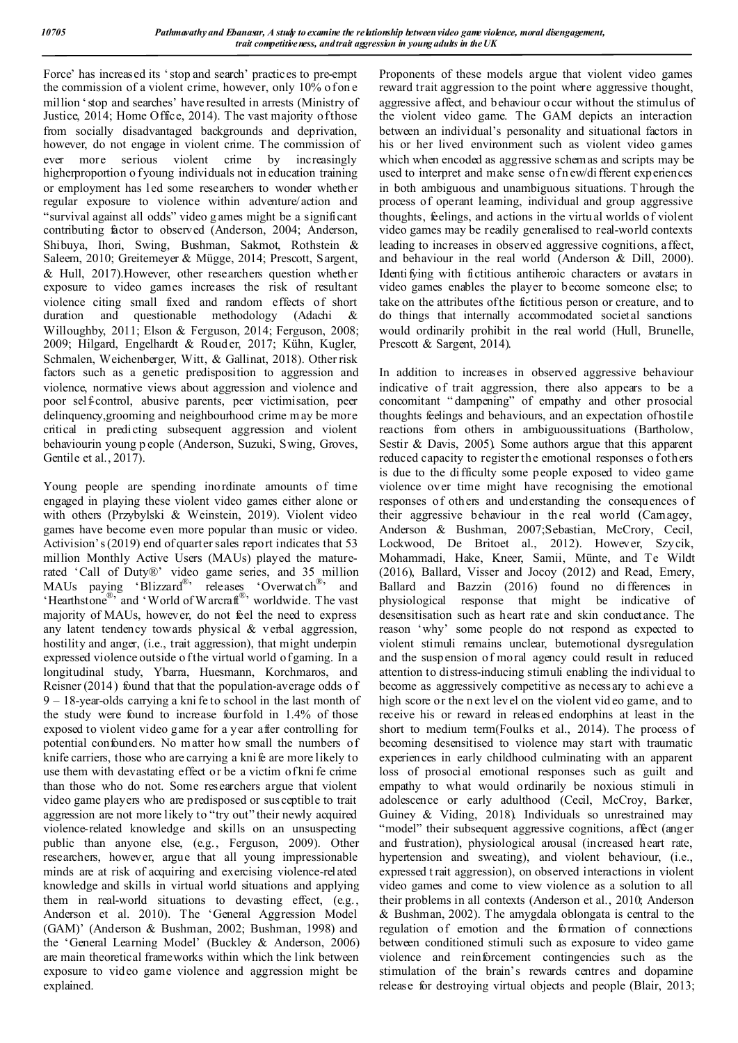Force' has increased its 'stop and search' practices to pre-empt the commission of a violent crime, however, only 10% of on e million 'stop and searches' have resulted in arrests (Ministry of Justice, 2014; Home Office, 2014). The vast majority of those from socially disadvantaged backgrounds and deprivation, however, do not engage in violent crime. The commission of ever more serious violent crime by increasingly higherproportion o f young individuals not in education training or employment has led some researchers to wonder whether regular exposure to violence within adventure/action and "survival against all odds" video g ames might be a significant contributing factor to observed (Anderson, 2004; Anderson, Shibuya, Ihori, Swing, Bushman, Sakmot, Rothstein & Saleem, 2010; Greitemeyer & Mügge, 2014; Prescott, Sargent, & Hull, 2017).However, other researchers question whether exposure to video games increases the risk of resultant violence citing small fixed and random effects of short duration and questionable methodology (Adachi & Willoughby, 2011; Elson & Ferguson, 2014; Ferguson, 2008; 2009; Hilgard, Engelhardt & Roud er, 2017; Kühn, Kugler, Schmalen, Weichenberger, Witt, & Gallinat, 2018). Other risk factors such as a genetic predisposition to aggression and violence, normative views about aggression and violence and poor self-control, abusive parents, peer victimisation, peer delinquency,grooming and neighbourhood crime m ay be more critical in predicting subsequent aggression and violent behaviourin young p eople (Anderson, Suzuki, Swing, Groves, Gentile et al., 2017).

Young people are spending inordinate amounts of time engaged in playing these violent video games either alone or with others (Przybylski & Weinstein, 2019). Violent video games have become even more popular than music or video. Activision's (2019) end of quarter sales report indicates that 53 million Monthly Active Users (MAUs) played the maturerated 'Call of Duty®' video game series, and 35 million MAUs paying 'Blizzard<sup>®</sup>' releases 'Overwatch<sup>®</sup>' and 'Hearthstone®' and 'World of Warcraft®' worldwide. The vast majority of MAUs, however, do not feel the need to express any latent tendency towards physical & verbal aggression, hostility and anger, (i.e., trait aggression), that might underpin expressed violence outside o f the virtual world of gaming. In a longitudinal study, Ybarra, Huesmann, Korchmaros, and Reisner (2014) found that that the population-average odds of 9 – 18-year-olds carrying a kni fe to school in the last month of the study were found to increase fourfold in 1.4% of those exposed to violent video game for a year after controlling for potential confounders. No matter how small the numbers of knife carriers, those who are carrying a kni fe are more likely to use them with devastating effect or be a victim of kni fe crime than those who do not. Some researchers argue that violent video game players who are predisposed or susceptible to trait aggression are not more likely to "try out" their newly acquired violence-related knowledge and skills on an unsuspecting public than anyone else, (e.g., Ferguson, 2009). Other researchers, however, argue that all young impressionable minds are at risk of acquiring and exercising violence-related knowledge and skills in virtual world situations and applying them in real-world situations to devasting effect, (e.g., Anderson et al. 2010). The 'General Aggression Model (GAM)' (Anderson & Bushman, 2002; Bushman, 1998) and the 'General Learning Model' (Buckley & Anderson, 2006) are main theoretical frameworks within which the link between exposure to video game violence and aggression might be explained.

Proponents of these models argue that violent video games reward trait aggression to the point where aggressive thought, aggressive affect, and behaviour o ccur without the stimulus of the violent video game. The GAM depicts an interaction between an individual's personality and situational factors in his or her lived environment such as violent video games which when encoded as aggressive schemas and scripts may be used to interpret and make sense of n ew/di fferent experiences in both ambiguous and unambiguous situations. T hrough the process of operant learning, individual and group aggressive thoughts, feelings, and actions in the virtu al worlds of violent video games may be readily generalised to real-world contexts leading to increases in observed aggressive cognitions, affect, and behaviour in the real world (Anderson & Dill, 2000). Identi fying with fictitious antiheroic characters or avatars in video games enables the player to become someone else; to take on the attributes of the fictitious person or creature, and to do things that internally accommodated societal sanctions would ordinarily prohibit in the real world (Hull, Brunelle, Prescott & Sargent, 2014).

In addition to increases in observed aggressive behaviour indicative of trait aggression, there also appears to be a concomitant " dampening" of empathy and other prosocial thoughts feelings and behaviours, and an expectation of hostile reactions from others in ambiguoussituations (Bartholow, Sestir & Davis, 2005). Some authors argue that this apparent reduced capacity to register the emotional responses o fothers is due to the difficulty some people exposed to video game violence over time might have recognising the emotional responses of others and understanding the consequences of their aggressive behaviour in the real world (Camagey, Anderson & Bushman, 2007;Sebastian, McCrory, Cecil, Lockwood, De Britoet al., 2012). However, Szycik, Mohammadi, Hake, Kneer, Samii, Münte, and Te Wildt (2016), Ballard, Visser and Jocoy (2012) and Read, Emery, Ballard and Bazzin (2016) found no differences in physiological response that might be indicative of desensitisation such as heart rate and skin conductance. The reason 'why' some people do not respond as expected to violent stimuli remains unclear, butemotional dysregulation and the suspension of moral agency could result in reduced attention to distress-inducing stimuli enabling the individual to become as aggressively competitive as necessary to achieve a high score or the n ext level on the violent vid eo game, and to receive his or reward in released endorphins at least in the short to medium term(Foulks et al., 2014). The process of becoming desensitised to violence may start with traumatic experiences in early childhood culminating with an apparent loss of prosocial emotional responses such as guilt and empathy to what would ordinarily be noxious stimuli in adolescence or early adulthood (Cecil, McCroy, Barker, Guiney & Viding, 2018). Individuals so unrestrained may "model" their subsequent aggressive cognitions, affect (anger and frustration), physiological arousal (increased heart rate, hypertension and sweating), and violent behaviour, (i.e., expressed t rait aggression), on observed interactions in violent video games and come to view violence as a solution to all their problems in all contexts (Anderson et al., 2010; Anderson & Bushman, 2002). The amygdala oblongata is central to the regulation of emotion and the formation of connections between conditioned stimuli such as exposure to video game violence and reinforcement contingencies such as the stimulation of the brain's rewards centres and dopamine release for destroying virtual objects and people (Blair, 2013;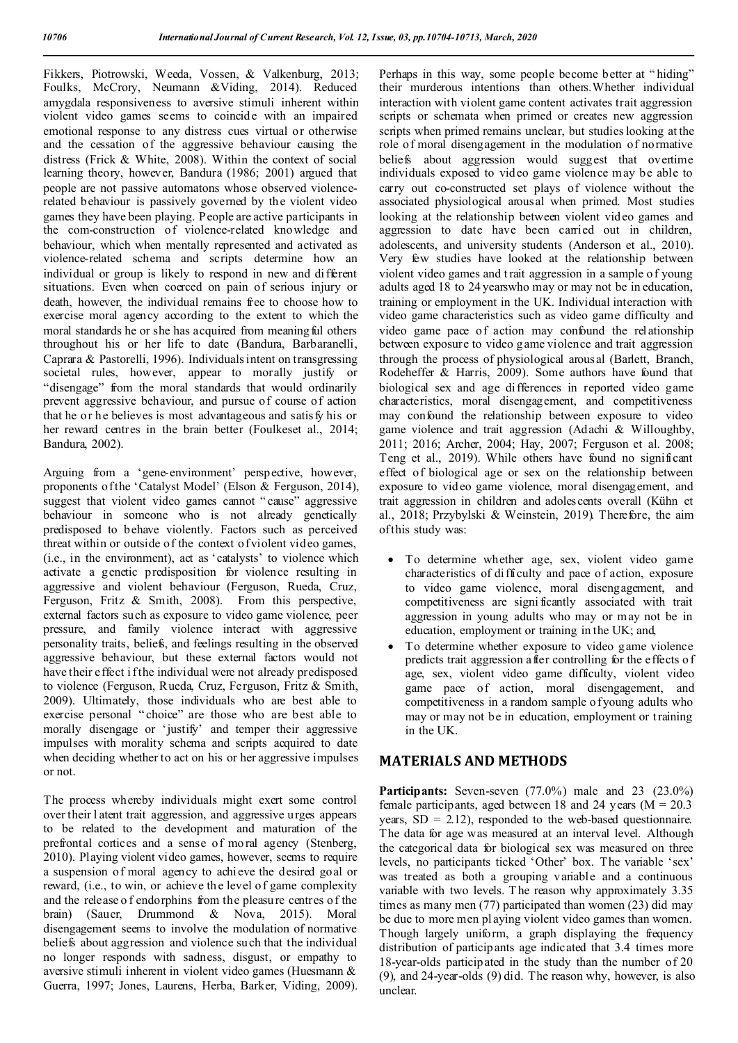Fikkers, Piotrowski, Weeda, Vossen, & Valkenburg, 2013; Foulks, McCrory, Neumann &Viding, 2014). Reduced amygdala responsiveness to aversive stimuli inherent within violent video games seems to coincide with an impaired emotional response to any distress cues virtual or otherwise and the cessation of the aggressive behaviour causing the distress (Frick & White, 2008). Within the context of social learning theory, however, Bandura (1986; 2001) argued that people are not passive automatons whose observed violencerelated behaviour is passively governed by the violent video games they have been playing. People are active participants in the com-construction of violence-related knowledge and behaviour, which when mentally represented and activated as violence-related schema and scripts determine how an individual or group is likely to respond in new and different situations. Even when coerced on pain of serious injury or death, however, the individual remains free to choose how to exercise moral agency according to the extent to which the moral standards he or she has acquired from meaningful others throughout his or her life to date (Bandura, Barbaranelli, Caprara & Pastorelli, 1996). Individuals intent on transgressing societal rules, however, appear to morally justify or "disengage" from the moral standards that would ordinarily prevent aggressive behaviour, and pursue of course of action that he or he believes is most advantageous and satisfy his or her reward centres in the brain better (Foulkeset al., 2014; Bandura, 2002).

Arguing from a 'gene-environment' perspective, however, proponents of the 'Catalyst Model' (Elson & Ferguson, 2014), suggest that violent video games cannot " cause" aggressive behaviour in someone who is not already genetically predisposed to behave violently. Factors such as perceived threat within or outside of the context of violent video games, (i.e., in the environment), act as 'catalysts' to violence which activate a genetic predisposition for violence resulting in aggressive and violent behaviour (Ferguson, Rueda, Cruz, Ferguson, Fritz & Smith, 2008). From this perspective, external factors such as exposure to video game violence, peer pressure, and family violence interact with aggressive personality traits, beliefs, and feelings resulting in the observed aggressive behaviour, but these external factors would not have their effect i f the individual were not already predisposed to violence (Ferguson, Rueda, Cruz, Ferguson, Fritz & Smith, 2009). Ultimately, those individuals who are best able to exercise personal " choice" are those who are best able to morally disengage or 'justify' and temper their aggressive impulses with morality schema and scripts acquired to date when deciding whether to act on his or her aggressive impulses or not.

The process whereby individuals might exert some control over their l atent trait aggression, and aggressive urges appears to be related to the development and maturation of the prefrontal cortices and a sense of moral agency (Stenberg, 2010). Playing violent video games, however, seems to require a suspension of moral agency to achieve the desired goal or reward, (i.e., to win, or achieve the level of game complexity and the release o f endorphins from the pleasure centres of the brain) (Sauer, Drummond & Nova, 2015). Moral disengagement seems to involve the modulation of normative beliefs about aggression and violence such that the individual no longer responds with sadness, disgust, or empathy to aversive stimuli inherent in violent video games (Huesmann & Guerra, 1997; Jones, Laurens, Herba, Barker, Viding, 2009).

Perhaps in this way, some people become better at " hiding" their murderous intentions than others.Whether individual interaction with violent game content activates trait aggression scripts or schemata when primed or creates new aggression scripts when primed remains unclear, but studies looking at the role of moral disengagement in the modulation of normative beliefs about aggression would suggest that overtime individuals exposed to video game violence may be able to carry out co-constructed set plays of violence without the associated physiological arousal when primed. Most studies looking at the relationship between violent video games and aggression to date have been carried out in children, adolescents, and university students (Anderson et al., 2010). Very few studies have looked at the relationship between violent video games and t rait aggression in a sample of young adults aged 18 to 24 yearswho may or may not be in education, training or employment in the UK. Individual interaction with video game characteristics such as video game difficulty and video game pace of action may confound the relationship between exposure to video g ame violence and trait aggression through the process of physiological arousal (Barlett, Branch, Rodeheffer & Harris, 2009). Some authors have found that biological sex and age differences in reported video game characteristics, moral disengagement, and competitiveness may confound the relationship between exposure to video game violence and trait aggression (Adachi & Willoughby, 2011; 2016; Archer, 2004; Hay, 2007; Ferguson et al. 2008; Teng et al., 2019). While others have found no significant effect of biological age or sex on the relationship between exposure to video game violence, moral disengagement, and trait aggression in children and adolescents overall (Kühn et al., 2018; Przybylski & Weinstein, 2019). Therefore, the aim of this study was:

- To determine whether age, sex, violent video game characteristics of difficulty and pace of action, exposure to video game violence, moral disengagement, and competitiveness are signi ficantly associated with trait aggression in young adults who may or may not be in education, employment or training in the UK; and,
- To determine whether exposure to video game violence predicts trait aggression after controlling for the effects o f age, sex, violent video game difficulty, violent video game pace of action, moral disengagement, and competitiveness in a random sample of young adults who may or may not be in education, employment or training in the UK.

## **MATERIALS AND METHODS**

Participants: Seven-seven (77.0%) male and 23 (23.0%) female participants, aged between 18 and 24 years ( $M = 20.3$ ) years,  $SD = 2.12$ ), responded to the web-based questionnaire. The data for age was measured at an interval level. Although the categorical data for biological sex was measured on three levels, no participants ticked 'Other' box. The variable 'sex' was treated as both a grouping variable and a continuous variable with two levels. T he reason why approximately 3.35 times as many men (77) participated than women (23) did may be due to more men pl aying violent video games than women. Though largely uniform, a graph displaying the frequency distribution of participants age indicated that 3.4 times more 18-year-olds participated in the study than the number of 20 (9), and 24-year-olds (9) did. The reason why, however, is also unclear.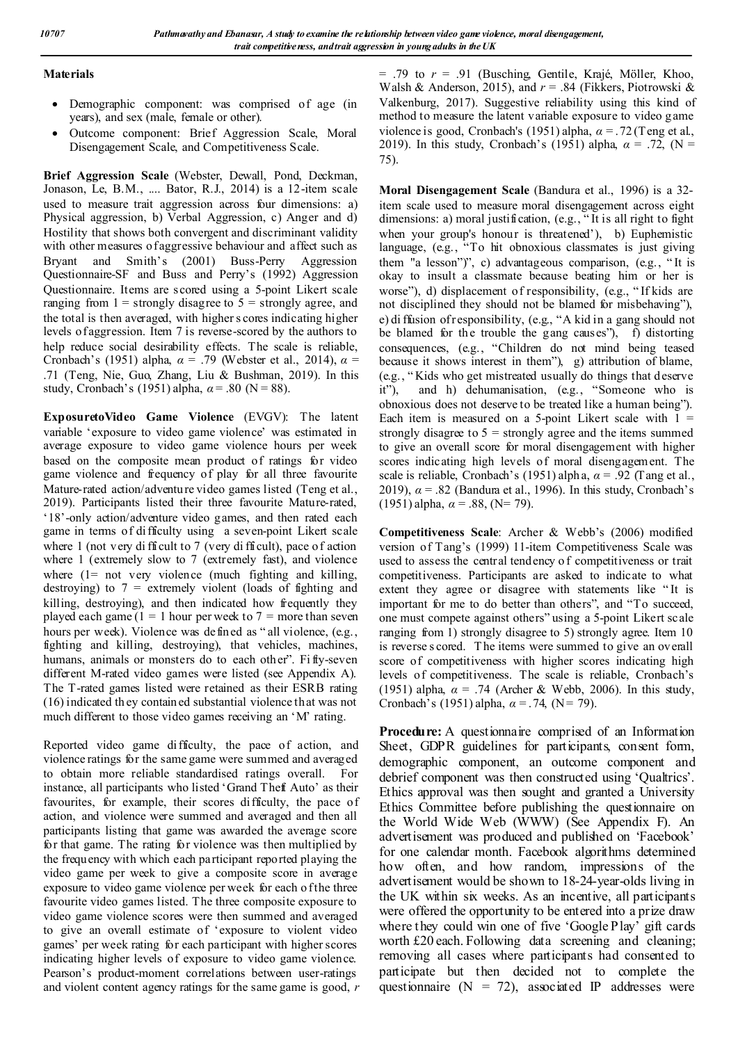### **Materials**

- Demographic component: was comprised of age (in years), and sex (male, female or other).
- Outcome component: Brief Aggression Scale, Moral Disengagement Scale, and Competitiveness Scale.

**Brief Aggression Scale** (Webster, Dewall, Pond, Deckman, Jonason, Le, B.M., .... Bator, R.J., 2014) is a 12-item scale used to measure trait aggression across four dimensions: a) Physical aggression, b) Verbal Aggression, c) Anger and d) Hostility that shows both convergent and discriminant validity with other measures of aggressive behaviour and affect such as Bryant and Smith's (2001) Buss-Perry Aggression Questionnaire-SF and Buss and Perry's (1992) Aggression Questionnaire. Items are scored using a 5-point Likert scale ranging from  $1 =$  strongly disagree to  $5 =$  strongly agree, and the total is then averaged, with higher s cores indicating higher levels of aggression. Item 7 is reverse-scored by the authors to help reduce social desirability effects. The scale is reliable, Cronbach's (1951) alpha, *α* = .79 (Webster et al., 2014), *α* = .71 (Teng, Nie, Guo, Zhang, Liu & Bushman, 2019). In this study, Cronbach's (1951) alpha,  $\alpha$  = .80 (N = 88).

**ExposuretoVideo Game Violence** (EVGV): The latent variable 'exposure to video game violence' was estimated in average exposure to video game violence hours per week based on the composite mean product of ratings for video game violence and frequency of play for all three favourite Mature-rated action/adventure video games listed (Teng et al., 2019). Participants listed their three favourite Mature-rated, '18'-only action/adventure video games, and then rated each game in terms of difficulty using a seven-point Likert scale where 1 (not very difficult to 7 (very difficult), pace of action where 1 (extremely slow to 7 (extremely fast), and violence where (1= not very violence (much fighting and killing, destroying) to 7 = extremely violent (loads of fighting and killing, destroying), and then indicated how frequently they played each game  $(1 = 1$  hour per week to  $7 =$  more than seven hours per week). Violence was defined as "all violence, (e.g., fighting and killing, destroying), that vehicles, machines, humans, animals or monsters do to each other". Fi fly-seven different M-rated video games were listed (see Appendix A). The T-rated games listed were retained as their ESRB rating (16) indicated th ey contained substantial violence that was not much different to those video games receiving an 'M' rating.

Reported video game difficulty, the pace of action, and violence ratings for the same game were summed and averaged to obtain more reliable standardised ratings overall. For instance, all participants who listed 'Grand Theft Auto' as their favourites, for example, their scores difficulty, the pace of action, and violence were summed and averaged and then all participants listing that game was awarded the average score for that game. The rating for violence was then multiplied by the frequency with which each participant reported playing the video game per week to give a composite score in average exposure to video game violence per week for each of the three favourite video games listed. The three composite exposure to video game violence scores were then summed and averaged to give an overall estimate of 'exposure to violent video games' per week rating for each participant with higher scores indicating higher levels of exposure to video game violence. Pearson's product-moment correlations between user-ratings and violent content agency ratings for the same game is good, *r* = .79 to *r* = .91 (Busching, Gentile, Krajé, Möller, Khoo, Walsh & Anderson, 2015), and *r* = .84 (Fikkers, Piotrowski & Valkenburg, 2017). Suggestive reliability using this kind of method to measure the latent variable exposure to video g ame violence is good, Cronbach's (1951) alpha, *α* = .72 (Teng et al., 2019). In this study, Cronbach's (1951) alpha, *α* = .72, (N = 75).

**Moral Disengagement Scale** (Bandura et al., 1996) is a 32 item scale used to measure moral disengagement across eight dimensions: a) moral justification, (e.g., " It is all right to fight when your group's honour is threatened'), b) Euphemistic language, (e.g., "To hit obnoxious classmates is just giving them "a lesson")", c) advantageous comparison, (e.g., " It is okay to insult a classmate because beating him or her is worse"), d) displacement of responsibility, (e.g., " If kids are not disciplined they should not be blamed for misbehaving"), e) di ffusion of responsibility, (e.g., "A kid in a gang should not be blamed for the trouble the gang causes"), f) distorting consequences, (e.g., "Children do not mind being teased because it shows interest in them"), g) attribution of blame, (e.g., " Kids who get mistreated usually do things that d eserve it"), and h) dehumanisation, (e.g., "Someone who is obnoxious does not deserve to be treated like a human being"). Each item is measured on a 5-point Likert scale with  $1 =$ strongly disagree to  $5 =$  strongly agree and the items summed to give an overall score for moral disengagement with higher scores indicating high levels of moral disengagement. The scale is reliable, Cronbach's (1951) alph a, *α* = .92 (Tang et al., 2019), *α* = .82 (Bandura et al., 1996). In this study, Cronbach's (1951) alpha, *α* = .88, (N= 79).

**Competitiveness Scale**: Archer & Webb's (2006) modified version of Tang's (1999) 11-item Competitiveness Scale was used to assess the central tendency o f competitiveness or trait competitiveness. Participants are asked to indicate to what extent they agree or disagree with statements like " It is important for me to do better than others", and "To succeed, one must compete against others" using a 5-point Likert scale ranging from 1) strongly disagree to 5) strongly agree. Item 10 is reverse s cored. T he items were summed to give an overall score of competitiveness with higher scores indicating high levels of competitiveness. The scale is reliable, Cronbach's (1951) alpha, *α* = .74 (Archer & Webb, 2006). In this study, Cronbach's (1951) alpha,  $\alpha$  = .74, (N = 79).

**Procedure:** A questionnaire comprised of an Information Sheet, GDPR guidelines for participants, consent form, demographic component, an outcome component and debrief component was then constructed using 'Qualtrics'. Ethics approval was then sought and granted a University Ethics Committee before publishing the questionnaire on the World Wide Web (WWW) (See Appendix F). An advertisement was produced and published on 'Facebook' for one calendar month. Facebook algorithms determined how often, and how random, impressions of the advertisement would be shown to 18-24-year-olds living in the UK within six weeks. As an incentive, all participants were offered the opportunity to be entered into a prize draw where they could win one of five 'Google Play' gift cards worth £20 each. Following data screening and cleaning; removing all cases where participants had consented to participate but then decided not to complete the questionnaire ( $N = 72$ ), associated IP addresses were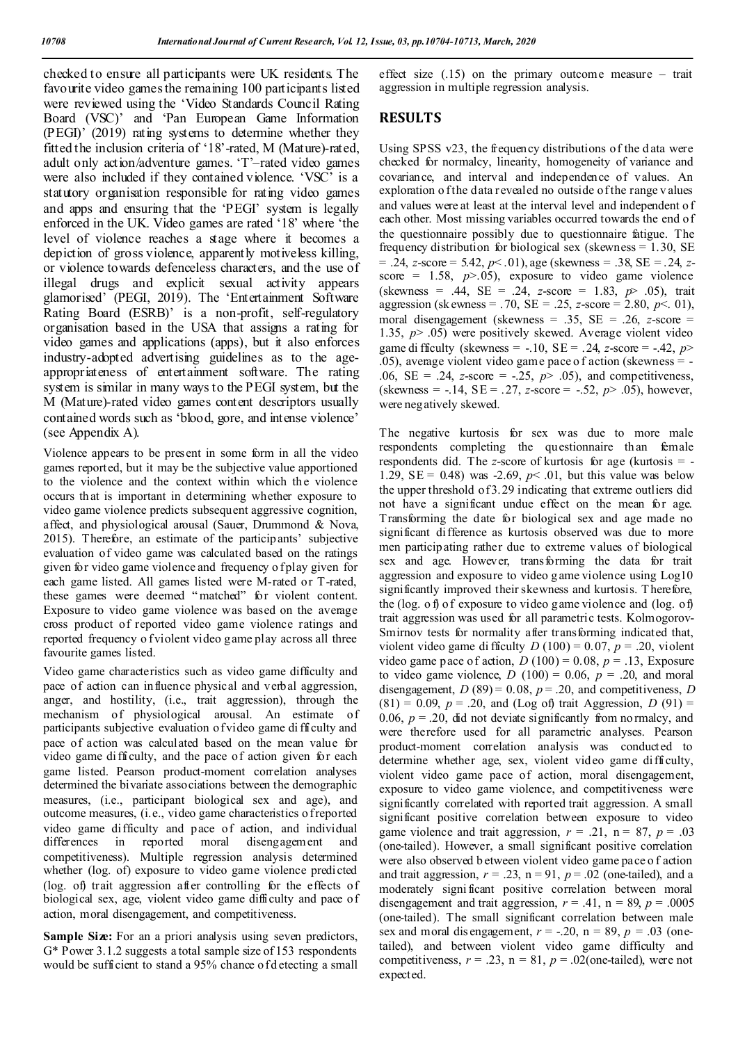checked to ensure all participants were UK residents. The favourite video games the remaining 100 participants listed were reviewed using the 'Video Standards Council Rating Board (VSC)' and 'Pan European Game Information (PEGI)' (2019) rating systems to determine whether they fitted the inclusion criteria of '18'-rated, M (Mature)-rated, adult only action/adventure games. 'T'–rated video games were also included if they contained violence. 'VSC' is a statutory organisation responsible for rating video games and apps and ensuring that the 'PEGI' system is legally enforced in the UK. Video games are rated '18' where 'the level of violence reaches a stage where it becomes a depiction of gross violence, apparently motiveless killing, or violence towards defenceless characters, and the use of illegal drugs and explicit sexual activity appears glamorised' (PEGI, 2019). The 'Entertainment Software Rating Board (ESRB)' is a non-profit, self-regulatory organisation based in the USA that assigns a rating for video games and applications (apps), but it also enforces industry-adopted advertising guidelines as to the ageappropriateness of entertainment software. The rating system is similar in many ways to the PEGI system, but the M (Mature)-rated video games content descriptors usually contained words such as 'blood, gore, and intense violence' (see Appendix A).

Violence appears to be present in some form in all the video games reported, but it may be the subjective value apportioned to the violence and the context within which the violence occurs that is important in determining whether exposure to video game violence predicts subsequent aggressive cognition, affect, and physiological arousal (Sauer, Drummond & Nova, 2015). Therefore, an estimate of the participants' subjective evaluation of video game was calculated based on the ratings given for video game violence and frequency o fplay given for each game listed. All games listed were M-rated or T-rated, these games were deemed " matched" for violent content. Exposure to video game violence was based on the average cross product of reported video game violence ratings and reported frequency o f violent video game play across all three favourite games listed.

Video game characteristics such as video game difficulty and pace of action can influence physical and verbal aggression, anger, and hostility, (i.e., trait aggression), through the mechanism of physiological arousal. An estimate of participants subjective evaluation of video game di fficulty and pace of action was calculated based on the mean value for video game difficulty, and the pace of action given for each game listed. Pearson product-moment correlation analyses determined the bivariate associations between the demographic measures, (i.e., participant biological sex and age), and outcome measures, (i.e., video game characteristics o freported video game difficulty and pace of action, and individual differences in reported moral disengagement and competitiveness). Multiple regression analysis determined whether (log. of) exposure to video game violence predicted (log. of) trait aggression after controlling for the effects of biological sex, age, violent video game difficulty and pace of action, moral disengagement, and competitiveness.

Sample Size: For an a priori analysis using seven predictors, G\* Power 3.1.2 suggests a total sample size of 153 respondents would be sufficient to stand a 95% chance of detecting a small effect size (.15) on the primary outcome measure – trait aggression in multiple regression analysis.

## **RESULTS**

Using SPSS v23, the frequency distributions of the d ata were checked for normalcy, linearity, homogeneity of variance and covariance, and interval and independence of values. An exploration o f the data revealed no outside of the range v alues and values were at least at the interval level and independent o f each other. Most missing variables occurred towards the end of the questionnaire possibly due to questionnaire fatigue. The frequency distribution for biological sex (skewness = 1.30, SE = .24, *z*-score = 5.42, *p*< .01), age (skewness = .38, SE = .24, *z*score = 1.58,  $p$ >.05), exposure to video game violence (skewness = .44, SE = .24, *z*-score = 1.83, *p*> .05), trait aggression (sk ewness = .70, SE = .25, *z*-score = 2.80, *p*<. 01), moral disengagement (skewness = .35, SE = .26, *z*-score = 1.35, *p*> .05) were positively skewed. Average violent video game di fficulty (skewness =  $-.10$ , SE =  $.24$ , *z*-score =  $-.42$ , *p*  $(0.05)$ , average violent video game pace of action (skewness = -.06, SE = .24, *z*-score = -.25, *p*> .05), and competitiveness, (skewness = -.14, SE = .27, *z*-score = -.52, *p*> .05), however, were negatively skewed.

The negative kurtosis for sex was due to more male respondents completing the questionnaire than female respondents did. The *z*-score of kurtosis for age (kurtosis = - 1.29,  $SE = 0.48$ ) was -2.69,  $p < .01$ , but this value was below the upper threshold of 3.29 indicating that extreme outliers did not have a significant undue effect on the mean for age. Transforming the date for biological sex and age made no significant difference as kurtosis observed was due to more men participating rather due to extreme values of biological sex and age. However, transforming the data for trait aggression and exposure to video g ame violence using Log10 significantly improved their skewness and kurtosis. T herefore, the (log. o f) of exposure to video game violence and (log. of) trait aggression was used for all parametric tests. Kolmogorov-Smirnov tests for normality after transforming indicated that, violent video game di fficulty  $D(100) = 0.07$ ,  $p = .20$ , violent video game pace of action,  $D(100) = 0.08$ ,  $p = .13$ , Exposure to video game violence,  $D(100) = 0.06$ ,  $p = .20$ , and moral disengagement,  $D(89) = 0.08$ ,  $p = .20$ , and competitiveness,  $D$  $(81) = 0.09, p = .20, \text{ and } (\text{Log of}) \text{ trait Aggression}, D (91) =$ 0.06,  $p = 0.20$ , did not deviate significantly from no rmalcy, and were therefore used for all parametric analyses. Pearson product-moment correlation analysis was conducted to determine whether age, sex, violent video game difficulty, violent video game pace of action, moral disengagement, exposure to video game violence, and competitiveness were significantly correlated with reported trait aggression. A small significant positive correlation between exposure to video game violence and trait aggression,  $r = .21$ ,  $n = 87$ ,  $p = .03$ (one-tailed). However, a small significant positive correlation were also observed b etween violent video game pace o f action and trait aggression,  $r = .23$ ,  $n = 91$ ,  $p = .02$  (one-tailed), and a moderately signi ficant positive correlation between moral disengagement and trait aggression,  $r = .41$ ,  $n = 89$ ,  $p = .0005$ (one-tailed). The small significant correlation between male sex and moral dis engagement,  $r = -.20$ ,  $n = 89$ ,  $p = .03$  (onetailed), and between violent video game difficulty and competitiveness,  $r = .23$ ,  $n = 81$ ,  $p = .02$ (one-tailed), were not expected.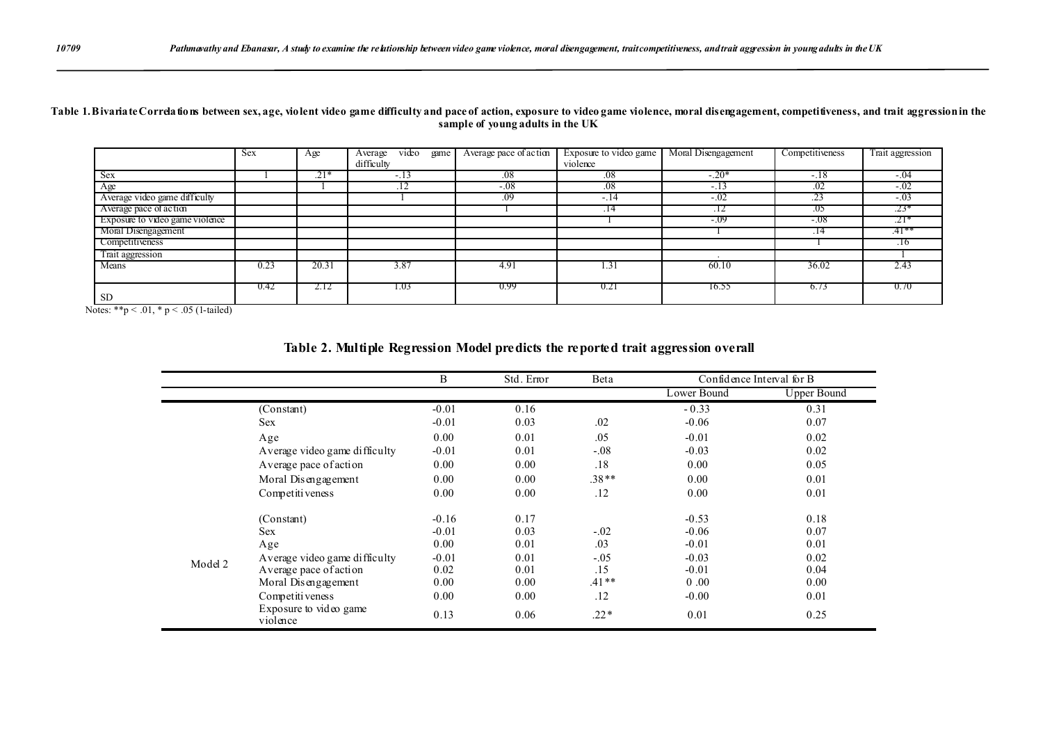#### **Table 1. Bivariate Correlations between sex, age, violent video game difficulty and pace of action, exposure to video game violence, moral disengagement, competitiveness, and trait aggression in the sample of young adults in the UK**

|                                 | Sex  | Age               | video<br>game<br>Average | Average pace of action | Exposure to video game | Moral Disengagement | Competitiveness | Trait aggression |
|---------------------------------|------|-------------------|--------------------------|------------------------|------------------------|---------------------|-----------------|------------------|
|                                 |      |                   | difficulty               |                        | violence               |                     |                 |                  |
| <b>Sex</b>                      |      | $\overline{.21*}$ | $-.13$                   | .08                    | .08                    | $-.20*$             | $-.18$          | $-.04$           |
| Age                             |      |                   | .12                      | $-.08$                 | .08                    | $\sim$              | .02             | $-.02$           |
| Average video game difficulty   |      |                   |                          | $\overline{0}9$        | $-.14$                 | $-.02$              | .23             | $-.03$           |
| Average pace of action          |      |                   |                          |                        | .14                    | .12                 | .05             | $.23*$           |
| Exposure to video game violence |      |                   |                          |                        |                        | -.09                | $-.08$          | $.21*$           |
| Moral Disengagement             |      |                   |                          |                        |                        |                     | .14             | .41**            |
| Competitiveness                 |      |                   |                          |                        |                        |                     |                 | .16              |
| Trait aggression                |      |                   |                          |                        |                        |                     |                 |                  |
| Means                           | 0.23 | 20.31             | 3.87                     | 4.91                   | 1.31                   | 60.10               | 36.02           | 2.43             |
|                                 |      |                   |                          |                        |                        |                     |                 |                  |
|                                 | 0.42 | 2.12              | 1.03                     | 0.99                   | 0.21                   | 16.55               | 6.73            | 0.70             |
| <b>SD</b>                       |      |                   |                          |                        |                        |                     |                 |                  |

Notes: \*\*p < .01, \* p < .05 (1-tailed)

|         |                                    | B       | Std. Error | Beta    | Confidence Interval for B |             |
|---------|------------------------------------|---------|------------|---------|---------------------------|-------------|
|         |                                    |         |            |         | Lower Bound               | Upper Bound |
|         | (Constant)                         | $-0.01$ | 0.16       |         | $-0.33$                   | 0.31        |
|         | <b>Sex</b>                         | $-0.01$ | 0.03       | .02     | $-0.06$                   | 0.07        |
|         | Age                                | 0.00    | 0.01       | .05     | $-0.01$                   | 0.02        |
|         | Average video game difficulty      | $-0.01$ | 0.01       | $-.08$  | $-0.03$                   | 0.02        |
|         | Average pace of action             | 0.00    | 0.00       | .18     | 0.00                      | 0.05        |
|         | Moral Disengagement                | 0.00    | 0.00       | $.38**$ | 0.00                      | 0.01        |
|         | Competitiveness                    | 0.00    | 0.00       | .12     | 0.00                      | 0.01        |
|         | (Constant)                         | $-0.16$ | 0.17       |         | $-0.53$                   | 0.18        |
|         | <b>Sex</b>                         | $-0.01$ | 0.03       | $-.02$  | $-0.06$                   | 0.07        |
|         | Age                                | 0.00    | 0.01       | .03     | $-0.01$                   | 0.01        |
| Model 2 | Average video game difficulty      | $-0.01$ | 0.01       | $-.05$  | $-0.03$                   | 0.02        |
|         | Average pace of action             | 0.02    | 0.01       | .15     | $-0.01$                   | 0.04        |
|         | Moral Disengagement                | 0.00    | 0.00       | $.41**$ | 0.00                      | 0.00        |
|         | Competitiveness                    | 0.00    | 0.00       | .12     | $-0.00$                   | 0.01        |
|         | Exposure to video game<br>violence | 0.13    | 0.06       | $.22*$  | 0.01                      | 0.25        |

## **Table 2. Multiple Regression Model predicts the reported trait aggression overall**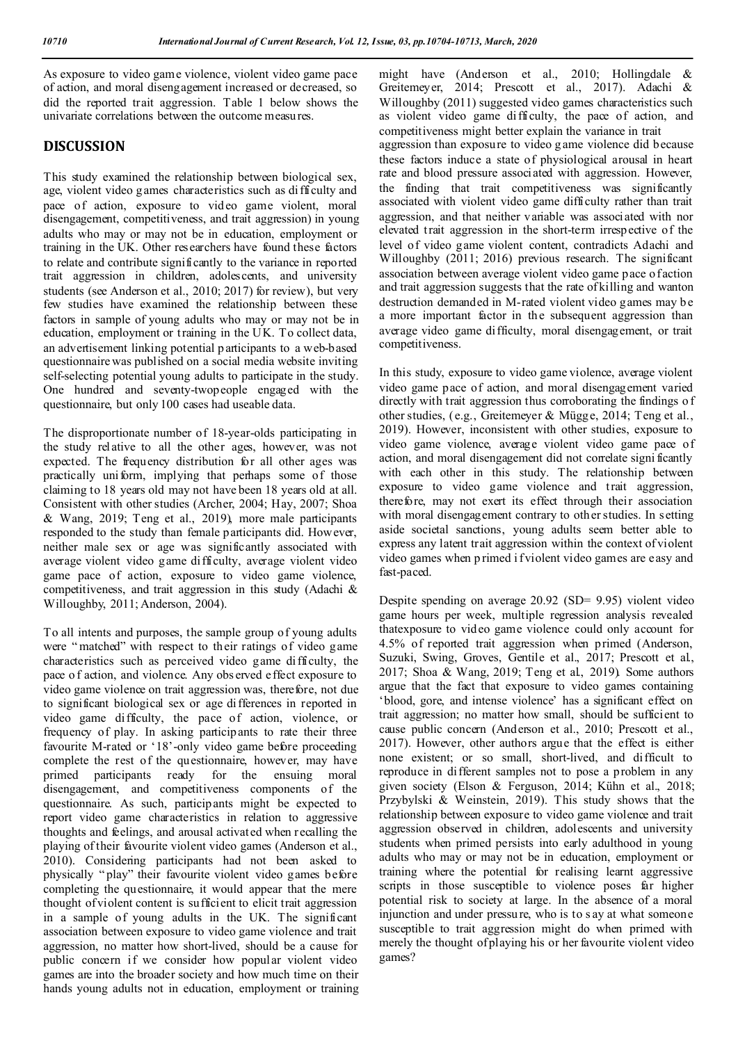As exposure to video game violence, violent video game pace of action, and moral disengagement increased or decreased, so did the reported trait aggression. Table 1 below shows the univariate correlations between the outcome measures.

## **DISCUSSION**

This study examined the relationship between biological sex, age, violent video g ames characteristics such as di fficulty and pace of action, exposure to video game violent, moral disengagement, competitiveness, and trait aggression) in young adults who may or may not be in education, employment or training in the UK. Other researchers have found these factors to relate and contribute significantly to the variance in reported trait aggression in children, adolescents, and university students (see Anderson et al., 2010; 2017) for review), but very few studies have examined the relationship between these factors in sample of young adults who may or may not be in education, employment or training in the UK. To collect data, an advertisement linking potential p articipants to a web-based questionnaire was published on a social media website inviting self-selecting potential young adults to participate in the study. One hundred and seventy-twopeople engaged with the questionnaire, but only 100 cases had useable data.

The disproportionate number of 18-year-olds participating in the study relative to all the other ages, however, was not expected. The frequency distribution for all other ages was practically uniform, implying that perhaps some of those claiming to 18 years old may not have been 18 years old at all. Consistent with other studies (Archer, 2004; Hay, 2007; Shoa & Wang, 2019; Teng et al., 2019), more male participants responded to the study than female participants did. However, neither male sex or age was significantly associated with average violent video game difficulty, average violent video game pace of action, exposure to video game violence, competitiveness, and trait aggression in this study (Adachi & Willoughby, 2011; Anderson, 2004).

To all intents and purposes, the sample group of young adults were "matched" with respect to their ratings of video game characteristics such as perceived video game difficulty, the pace o f action, and violence. Any obs erved effect exposure to video game violence on trait aggression was, therefore, not due to significant biological sex or age differences in reported in video game difficulty, the pace of action, violence, or frequency of play. In asking participants to rate their three favourite M-rated or '18'-only video game before proceeding complete the rest of the questionnaire, however, may have primed participants ready for the ensuing moral disengagement, and competitiveness components of the questionnaire. As such, participants might be expected to report video game characteristics in relation to aggressive thoughts and feelings, and arousal activated when recalling the playing of their favourite violent video games (Anderson et al., 2010). Considering participants had not been asked to physically " play" their favourite violent video games before completing the questionnaire, it would appear that the mere thought of violent content is sufficient to elicit trait aggression in a sample of young adults in the UK. The significant association between exposure to video game violence and trait aggression, no matter how short-lived, should be a cause for public concern if we consider how popular violent video games are into the broader society and how much time on their hands young adults not in education, employment or training might have (Anderson et al., 2010; Hollingdale & Greitemeyer, 2014; Prescott et al., 2017). Adachi & Willoughby (2011) suggested video games characteristics such as violent video game difficulty, the pace of action, and competitiveness might better explain the variance in trait aggression than exposure to video g ame violence did because these factors induce a state of physiological arousal in heart rate and blood pressure associated with aggression. However, the finding that trait competitiveness was significantly associated with violent video game difficulty rather than trait aggression, and that neither variable was associated with nor elevated trait aggression in the short-term irrespective of the level of video game violent content, contradicts Adachi and Willoughby (2011; 2016) previous research. The significant association between average violent video game pace of action and trait aggression suggests that the rate of killing and wanton destruction demanded in M-rated violent video games may b e a more important factor in the subsequent aggression than average video game difficulty, moral disengagement, or trait competitiveness.

In this study, exposure to video game violence, average violent video game pace of action, and moral disengagement varied directly with trait aggression thus corroborating the findings o f other studies, (e.g., Greitemeyer & Mügge, 2014; Teng et al., 2019). However, inconsistent with other studies, exposure to video game violence, average violent video game pace of action, and moral disengagement did not correlate signi ficantly with each other in this study. The relationship between exposure to video game violence and trait aggression, therefore, may not exert its effect through their association with moral disengagement contrary to other studies. In setting aside societal sanctions, young adults seem better able to express any latent trait aggression within the context of violent video games when p rimed i f violent video games are easy and fast-paced.

Despite spending on average 20.92 (SD= 9.95) violent video game hours per week, multiple regression analysis revealed thatexposure to video game violence could only account for 4.5% of reported trait aggression when primed (Anderson, Suzuki, Swing, Groves, Gentile et al., 2017; Prescott et al., 2017; Shoa & Wang, 2019; Teng et al., 2019). Some authors argue that the fact that exposure to video games containing 'blood, gore, and intense violence' has a significant effect on trait aggression; no matter how small, should be sufficient to cause public concern (Anderson et al., 2010; Prescott et al., 2017). However, other authors argue that the effect is either none existent; or so small, short-lived, and difficult to reproduce in different samples not to pose a problem in any given society (Elson & Ferguson, 2014; Kühn et al., 2018; Przybylski & Weinstein, 2019). This study shows that the relationship between exposure to video game violence and trait aggression observed in children, adolescents and university students when primed persists into early adulthood in young adults who may or may not be in education, employment or training where the potential for realising learnt aggressive scripts in those susceptible to violence poses far higher potential risk to society at large. In the absence of a moral injunction and under pressure, who is to s ay at what someone susceptible to trait aggression might do when primed with merely the thought of playing his or her favourite violent video games?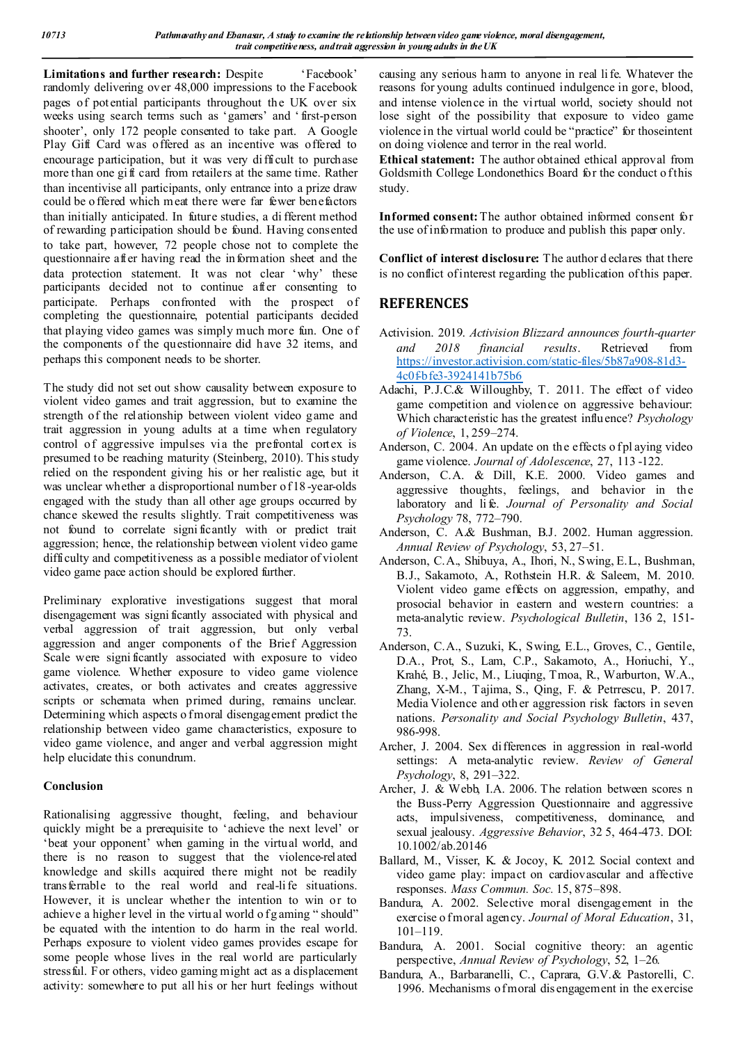Limitations and further research: Despite 'Facebook' randomly delivering over 48,000 impressions to the Facebook pages of potential participants throughout the UK over six weeks using search terms such as 'gamers' and ' first-person shooter', only 172 people consented to take part. A Google Play Gift Card was offered as an incentive was offered to encourage participation, but it was very difficult to purchase more than one gi ft card from retailers at the same time. Rather than incentivise all participants, only entrance into a prize draw could be o ffered which meat there were far fewer benefactors than initially anticipated. In future studies, a di fferent method of rewarding participation should be found. Having consented to take part, however, 72 people chose not to complete the questionnaire after having read the information sheet and the data protection statement. It was not clear 'why' these participants decided not to continue after consenting to participate. Perhaps confronted with the prospect of completing the questionnaire, potential participants decided that playing video games was simply much more fun. One of the components of the questionnaire did have 32 items, and perhaps this component needs to be shorter.

The study did not set out show causality between exposure to violent video games and trait aggression, but to examine the strength of the relationship between violent video game and trait aggression in young adults at a time when regulatory control of aggressive impulses via the prefrontal cortex is presumed to be reaching maturity (Steinberg, 2010). This study relied on the respondent giving his or her realistic age, but it was unclear whether a disproportional number of 18 -year-olds engaged with the study than all other age groups occurred by chance skewed the results slightly. Trait competitiveness was not found to correlate signi ficantly with or predict trait aggression; hence, the relationship between violent video game difficulty and competitiveness as a possible mediator of violent video game pace action should be explored further.

Preliminary explorative investigations suggest that moral disengagement was signi ficantly associated with physical and verbal aggression of trait aggression, but only verbal aggression and anger components of the Brief Aggression Scale were significantly associated with exposure to video game violence. Whether exposure to video game violence activates, creates, or both activates and creates aggressive scripts or schemata when primed during, remains unclear. Determining which aspects o fmoral disengagement predict the relationship between video game characteristics, exposure to video game violence, and anger and verbal aggression might help elucidate this conundrum.

#### **Conclusion**

Rationalising aggressive thought, feeling, and behaviour quickly might be a prerequisite to 'achieve the next level' or 'beat your opponent' when gaming in the virtual world, and there is no reason to suggest that the violence-related knowledge and skills acquired there might not be readily transferrable to the real world and real-li fe situations. However, it is unclear whether the intention to win or to achieve a higher level in the virtual world of g aming " should" be equated with the intention to do harm in the real world. Perhaps exposure to violent video games provides escape for some people whose lives in the real world are particularly stressful. For others, video gaming might act as a displacement activity: somewhere to put all his or her hurt feelings without

causing any serious harm to anyone in real li fe. Whatever the reasons for young adults continued indulgence in gore, blood, and intense violence in the virtual world, society should not lose sight of the possibility that exposure to video game violence in the virtual world could be "practice" for thoseintent on doing violence and terror in the real world.

**Ethical statement:** The author obtained ethical approval from Goldsmith College Londonethics Board for the conduct of this study.

**Informed consent:**The author obtained informed consent for the use of information to produce and publish this paper only.

**Conflict of interest disclosure:** The author d eclares that there is no conflict of interest regarding the publication of this paper.

## **REFERENCES**

- Activision. 2019. *Activision Blizzard announces fourth-quarter and 2018 financial results*. Retrieved from https://investor.activision.com/static-files/5b87a908-81d3- 4c0fbfe3-3924141b75b6
- Adachi, P.J.C.& Willoughby, T. 2011. The effect of video game competition and violence on aggressive behaviour: Which characteristic has the greatest influence? *Psychology of Violence*, 1, 259–274.
- Anderson, C. 2004. An update on the effects of playing video game violence. *Journal of Adolescence*, 27, 113 -122.
- Anderson, C.A. & Dill, K.E. 2000. Video games and aggressive thoughts, feelings, and behavior in the laboratory and life. *Journal of Personality and Social Psychology* 78, 772–790.
- Anderson, C. A.& Bushman, B.J. 2002. Human aggression. *Annual Review of Psychology*, 53, 27–51.
- Anderson, C.A., Shibuya, A., Ihori, N., Swing, E.L., Bushman, B.J., Sakamoto, A., Rothstein H.R. & Saleem, M. 2010. Violent video game effects on aggression, empathy, and prosocial behavior in eastern and western countries: a meta-analytic review. *Psychological Bulletin*, 136 2, 151- 73.
- Anderson, C.A., Suzuki, K., Swing, E.L., Groves, C., Gentile, D.A., Prot, S., Lam, C.P., Sakamoto, A., Horiuchi, Y., Krahé, B., Jelic, M., Liuqing, Tmoa, R., Warburton, W.A., Zhang, X-M., Tajima, S., Qing, F. & Petrrescu, P. 2017. Media Violence and oth er aggression risk factors in seven nations. *Personality and Social Psychology Bulletin*, 437, 986-998.
- Archer, J. 2004. Sex differences in aggression in real-world settings: A meta-analytic review. *Review of General Psychology*, 8, 291–322.
- Archer, J. & Webb, I.A. 2006. The relation between scores n the Buss-Perry Aggression Questionnaire and aggressive acts, impulsiveness, competitiveness, dominance, and sexual jealousy. *Aggressive Behavior*, 32 5, 464-473. DOI: 10.1002/ab.20146
- Ballard, M., Visser, K. & Jocoy, K. 2012. Social context and video game play: impact on cardiovascular and affective responses. *Mass Commun. Soc.* 15, 875–898.
- Bandura, A. 2002. Selective moral disengagement in the exercise o fmoral agency. *Journal of Moral Education*, 31, 101–119.
- Bandura, A. 2001. Social cognitive theory: an agentic perspective, *Annual Review of Psychology*, 52, 1–26.
- Bandura, A., Barbaranelli, C., Caprara, G.V.& Pastorelli, C. 1996. Mechanisms of moral dis engagement in the exercise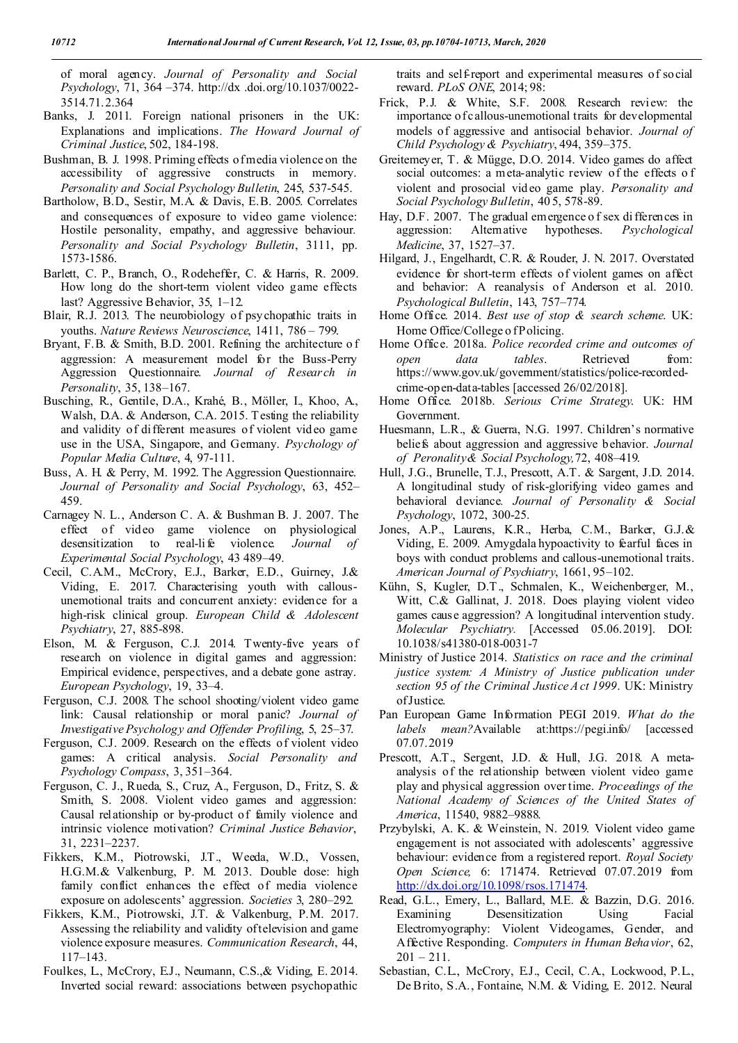of moral agency. *Journal of Personality and Social Psychology*, 71, 364 –374. http://dx .doi.org/10.1037/0022- 3514.71.2.364

- Banks, J. 2011. Foreign national prisoners in the UK: Explanations and implications. *The Howard Journal of Criminal Justice*, 502, 184-198.
- Bushman, B. J. 1998. Priming effects of media violence on the accessibility of aggressive constructs in memory. *Personality and Social Psychology Bulletin*, 245, 537-545.
- Bartholow, B.D., Sestir, M.A. & Davis, E.B. 2005. Correlates and consequences of exposure to video game violence: Hostile personality, empathy, and aggressive behaviour*. Personality and Social Psychology Bulletin*, 3111, pp. 1573-1586.
- Barlett, C. P., Branch, O., Rodeheffer, C. & Harris, R. 2009. How long do the short-term violent video game effects last? Aggressive Behavior, 35, 1–12.
- Blair, R.J. 2013. The neurobiology of psychopathic traits in youths. *Nature Reviews Neuroscience*, 1411, 786 – 799.
- Bryant, F.B. & Smith, B.D. 2001. Refining the architecture o f aggression: A measurement model for the Buss-Perry Aggression Questionnaire. *Journal of Research in Personality*, 35, 138–167.
- Busching, R., Gentile, D.A., Krahé, B., Möller, I., Khoo, A., Walsh, D.A. & Anderson, C.A. 2015. Testing the reliability and validity of different measures of violent video game use in the USA, Singapore, and Germany. *Psychology of Popular Media Culture*, 4, 97-111.
- Buss, A. H. & Perry, M. 1992. The Aggression Questionnaire. *Journal of Personality and Social Psychology*, 63, 452– 459.
- Carnagey N. L., Anderson C. A. & Bushman B. J. 2007. The effect of video game violence on physiological desensitization to real-li fe violence*. Journal of Experimental Social Psychology*, 43 489–49.
- Cecil, C.A.M., McCrory, E.J., Barker, E.D., Guirney, J.& Viding, E. 2017. Characterising youth with callousunemotional traits and concurrent anxiety: evidence for a high-risk clinical group. *European Child & Adolescent Psychiatry*, 27, 885-898.
- Elson, M. & Ferguson, C.J. 2014. Twenty-five years of research on violence in digital games and aggression: Empirical evidence, perspectives, and a debate gone astray. *European Psychology*, 19, 33–4.
- Ferguson, C.J. 2008. The school shooting/violent video game link: Causal relationship or moral panic? *Journal of Investigative Psychology and Offender Profiling*, 5, 25–37.
- Ferguson, C.J. 2009. Research on the effects of violent video games: A critical analysis. *Social Personality and Psychology Compass*, 3, 351–364.
- Ferguson, C. J., Rueda, S., Cruz, A., Ferguson, D., Fritz, S. & Smith, S. 2008. Violent video games and aggression: Causal relationship or by-product of family violence and intrinsic violence motivation? *Criminal Justice Behavior*, 31, 2231–2237.
- Fikkers, K.M., Piotrowski, J.T., Weeda, W.D., Vossen, H.G.M.& Valkenburg, P. M. 2013. Double dose: high family conflict enhances the effect of media violence exposure on adolescents' aggression. *Societies* 3, 280–292.
- Fikkers, K.M., Piotrowski, J.T. & Valkenburg, P.M. 2017. Assessing the reliability and validity of television and game violence exposure measures. *Communication Research*, 44, 117–143.
- Foulkes, L., McCrory, E.J., Neumann, C.S.,& Viding, E. 2014. Inverted social reward: associations between psychopathic

traits and self-report and experimental measures of social reward. *PLoS ONE*, 2014; 98:

- Frick, P.J. & White, S.F. 2008. Research review: the importance of callous-unemotional traits for developmental models of aggressive and antisocial behavior. *Journal of Child Psychology & Psychiatry*, 494, 359–375.
- Greitemeyer, T. & Mügge, D.O. 2014. Video games do affect social outcomes: a meta-analytic review of the effects o f violent and prosocial video game play. *Personality and Social Psychology Bulletin*, 40 5, 578-89.
- Hay, D.F. 2007. The gradual emergence o f sex di fferences in aggression: Alternative hypotheses. *Psychological Medicine*, 37, 1527–37.
- Hilgard, J., Engelhardt, C.R. & Rouder, J. N. 2017. Overstated evidence for short-term effects of violent games on affect and behavior: A reanalysis of Anderson et al. 2010. *Psychological Bulletin*, 143, 757–774.
- Home Office. 2014. *Best use of stop & search scheme*. UK: Home Office/College of Policing.
- Home Office. 2018a. *Police recorded crime and outcomes of open data tables*. Retrieved from: https://www.gov.uk/government/statistics/police-recordedcrime-open-data-tables [accessed 26/02/2018].
- Home Office. 2018b. *Serious Crime Strategy*. UK: HM Government.
- Huesmann, L.R., & Guerra, N.G. 1997. Children's normative beliefs about aggression and aggressive behavior. *Journal of Peronality & Social Psychology,*72, 408–419.
- Hull, J.G., Brunelle, T.J., Prescott, A.T. & Sargent, J.D. 2014. A longitudinal study of risk-glorifying video games and behavioral deviance*. Journal of Personality & Social Psychology*, 1072, 300-25.
- Jones, A.P., Laurens, K.R., Herba, C.M., Barker, G.J.& Viding, E. 2009. Amygdala hypoactivity to fearful faces in boys with conduct problems and callous-unemotional traits. *American Journal of Psychiatry*, 1661, 95–102.
- Kühn, S, Kugler, D.T., Schmalen, K., Weichenberger, M., Witt, C.& Gallinat, J. 2018. Does playing violent video games cause aggression? A longitudinal intervention study. *Molecular Psychiatry.* [Accessed 05.06.2019]. DOI: 10.1038/s41380-018-0031-7
- Ministry of Justice 2014. *Statistics on race and the criminal justice system: A Ministry of Justice publication under section 95 of the Criminal Justice A ct 1999*. UK: Ministry of Justice.
- Pan European Game Information PEGI 2019. *What do the labels mean?*Available at:https://pegi.info/ [accessed 07.07.2019
- Prescott, A.T., Sergent, J.D. & Hull, J.G. 2018. A metaanalysis of the relationship between violent video game play and physical aggression over time. *Proceedings of the National Academy of Sciences of the United States of America*, 11540, 9882–9888.
- Przybylski, A. K. & Weinstein, N. 2019. Violent video game engagement is not associated with adolescents' aggressive behaviour: evidence from a registered report. *Royal Society Open Science,* 6: 171474. Retrieved 07.07.2019 from http://dx.doi.org/10.1098/rsos.171474.
- Read, G.L., Emery, L., Ballard, M.E. & Bazzin, D.G. 2016. Examining Desensitization Using Facial Electromyography: Violent Videogames, Gender, and Affective Responding. *Computers in Human Behavior*, 62,  $201 - 211$ .
- Sebastian, C.L., McCrory, E.J., Cecil, C.A., Lockwood, P.L., De Brito, S.A., Fontaine, N.M. & Viding, E. 2012. Neural